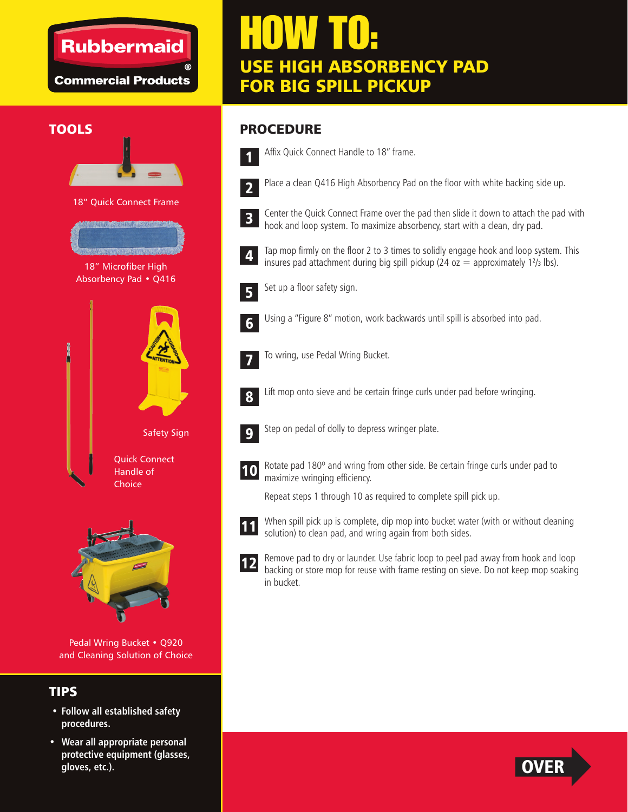### **Rubbermaid**

**Commercial Products** 

# HOW TO: USE HIGH ABSORBENCY PAD FOR BIG SPILL PICKUP

#### **TOOLS**



18" Quick Connect Frame



18" Microfiber High Absorbency Pad • Q416





Pedal Wring Bucket • Q920 and Cleaning Solution of Choice

#### TIPS

- **Follow all established safety procedures.**
- **Wear all appropriate personal protective equipment (glasses, gloves, etc.).**

#### PROCEDURE



Affix Quick Connect Handle to 18" frame.



Place a clean Q416 High Absorbency Pad on the floor with white backing side up.



Center the Quick Connect Frame over the pad then slide it down to attach the pad with hook and loop system. To maximize absorbency, start with a clean, dry pad.



Tap mop firmly on the floor 2 to 3 times to solidly engage hook and loop system. This insures pad attachment during big spill pickup (24 oz  $=$  approximately 1<sup>2</sup>/<sub>3</sub> lbs).



Set up a floor safety sign.



Using a "Figure 8" motion, work backwards until spill is absorbed into pad.



To wring, use Pedal Wring Bucket.

Lift mop onto sieve and be certain fringe curls under pad before wringing.



8

Step on pedal of dolly to depress wringer plate.



Rotate pad 180º and wring from other side. Be certain fringe curls under pad to maximize wringing efficiency.

Repeat steps 1 through 10 as required to complete spill pick up.



When spill pick up is complete, dip mop into bucket water (with or without cleaning solution) to clean pad, and wring again from both sides.



Remove pad to dry or launder. Use fabric loop to peel pad away from hook and loop backing or store mop for reuse with frame resting on sieve. Do not keep mop soaking in bucket.